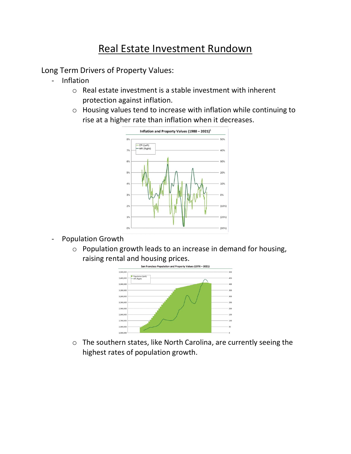## Real Estate Investment Rundown

Long Term Drivers of Property Values:

- Inflation
	- o Real estate investment is a stable investment with inherent protection against inflation.
	- o Housing values tend to increase with inflation while continuing to rise at a higher rate than inflation when it decreases.



- Population Growth
	- o Population growth leads to an increase in demand for housing, raising rental and housing prices.



o The southern states, like North Carolina, are currently seeing the highest rates of population growth.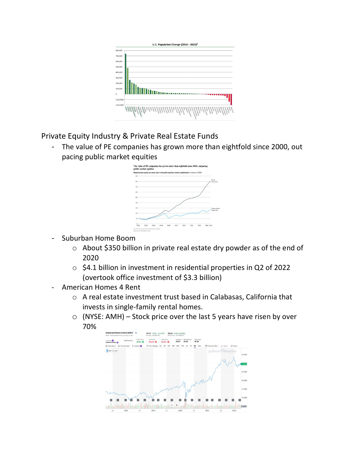

Private Equity Industry & Private Real Estate Funds

- The value of PE companies has grown more than eightfold since 2000, out pacing public market equities



- Suburban Home Boom
	- o About \$350 billion in private real estate dry powder as of the end of 2020
	- o \$4.1 billion in investment in residential properties in Q2 of 2022 (overtook office investment of \$3.3 billion)
- American Homes 4 Rent
	- o A real estate investment trust based in Calabasas, California that invests in single-family rental homes.
	- $\circ$  (NYSE: AMH) Stock price over the last 5 years have risen by over 70%